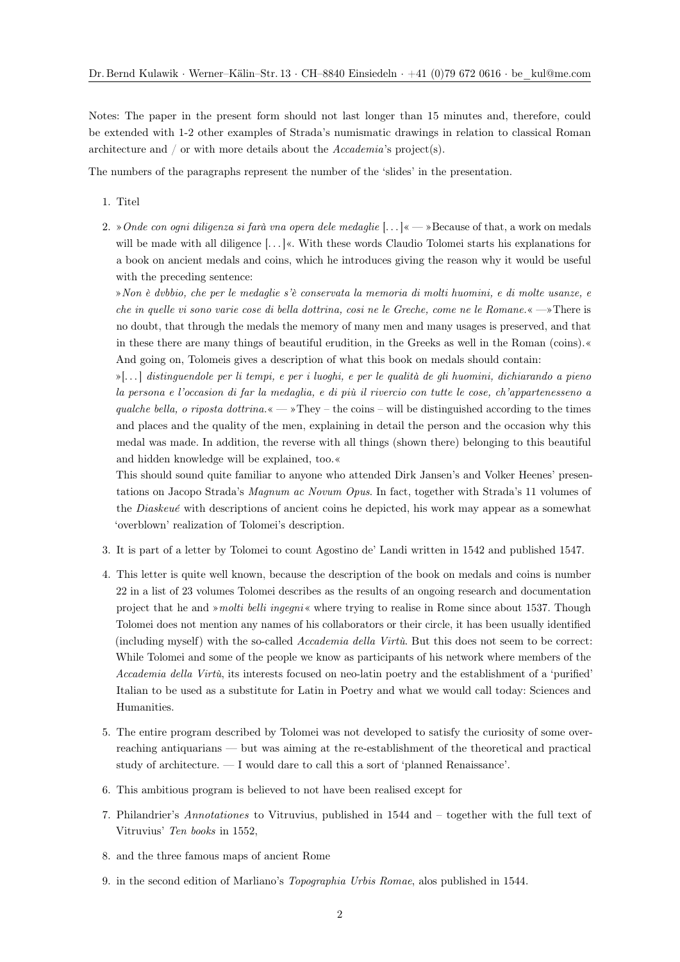Notes: The paper in the present form should not last longer than 15 minutes and, therefore, could be extended with 1-2 other examples of Strada's numismatic drawings in relation to classical Roman architecture and / or with more details about the *Accademia*'s project(s).

The numbers of the paragraphs represent the number of the 'slides' in the presentation.

- 1. Titel
- 2. »*Onde con ogni diligenza si farà vna opera dele medaglie* [. . . ]« »Because of that, a work on medals will be made with all diligence [...] «. With these words Claudio Tolomei starts his explanations for a book on ancient medals and coins, which he introduces giving the reason why it would be useful with the preceding sentence:

»*Non è dvbbio, che per le medaglie s'è conservata la memoria di molti huomini, e di molte usanze, e che in quelle vi sono varie cose di bella dottrina, cosi ne le Greche, come ne le Romane.*« —»There is no doubt, that through the medals the memory of many men and many usages is preserved, and that in these there are many things of beautiful erudition, in the Greeks as well in the Roman (coins).« And going on, Tolomeis gives a description of what this book on medals should contain:

»[. . . ] *distinguendole per li tempi, e per i luoghi, e per le qualità de gli huomini, dichiarando a pieno la persona e l'occasion di far la medaglia, e di più il rivercio con tutte le cose, ch'appartenesseno a qualche bella, o riposta dottrina.*  $\ll -\gamma$  They – the coins – will be distinguished according to the times and places and the quality of the men, explaining in detail the person and the occasion why this medal was made. In addition, the reverse with all things (shown there) belonging to this beautiful and hidden knowledge will be explained, too.«

This should sound quite familiar to anyone who attended Dirk Jansen's and Volker Heenes' presentations on Jacopo Strada's *Magnum ac Novum Opus*. In fact, together with Strada's 11 volumes of the *Diaskeué* with descriptions of ancient coins he depicted, his work may appear as a somewhat 'overblown' realization of Tolomei's description.

- 3. It is part of a letter by Tolomei to count Agostino de' Landi written in 1542 and published 1547.
- 4. This letter is quite well known, because the description of the book on medals and coins is number 22 in a list of 23 volumes Tolomei describes as the results of an ongoing research and documentation project that he and »*molti belli ingegni*« where trying to realise in Rome since about 1537. Though Tolomei does not mention any names of his collaborators or their circle, it has been usually identified (including myself) with the so-called *Accademia della Virtù*. But this does not seem to be correct: While Tolomei and some of the people we know as participants of his network where members of the *Accademia della Virtù*, its interests focused on neo-latin poetry and the establishment of a 'purified' Italian to be used as a substitute for Latin in Poetry and what we would call today: Sciences and Humanities.
- 5. The entire program described by Tolomei was not developed to satisfy the curiosity of some overreaching antiquarians — but was aiming at the re-establishment of the theoretical and practical study of architecture. — I would dare to call this a sort of 'planned Renaissance'.
- 6. This ambitious program is believed to not have been realised except for
- 7. Philandrier's *Annotationes* to Vitruvius, published in 1544 and together with the full text of Vitruvius' *Ten books* in 1552,
- 8. and the three famous maps of ancient Rome
- 9. in the second edition of Marliano's *Topographia Urbis Romae*, alos published in 1544.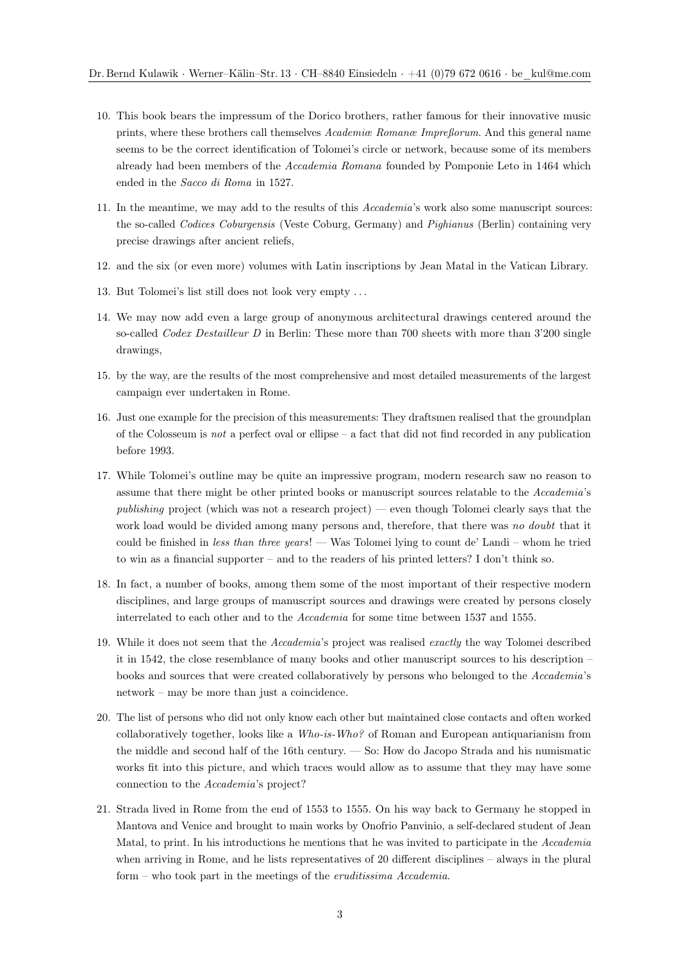- 10. This book bears the impressum of the Dorico brothers, rather famous for their innovative music prints, where these brothers call themselves *Academiæ Romanæ Impreßorum*. And this general name seems to be the correct identification of Tolomei's circle or network, because some of its members already had been members of the *Accademia Romana* founded by Pomponie Leto in 1464 which ended in the *Sacco di Roma* in 1527.
- 11. In the meantime, we may add to the results of this *Accademia*'s work also some manuscript sources: the so-called *Codices Coburgensis* (Veste Coburg, Germany) and *Pighianus* (Berlin) containing very precise drawings after ancient reliefs,
- 12. and the six (or even more) volumes with Latin inscriptions by Jean Matal in the Vatican Library.
- 13. But Tolomei's list still does not look very empty . . .
- 14. We may now add even a large group of anonymous architectural drawings centered around the so-called *Codex Destailleur D* in Berlin: These more than 700 sheets with more than 3'200 single drawings,
- 15. by the way, are the results of the most comprehensive and most detailed measurements of the largest campaign ever undertaken in Rome.
- 16. Just one example for the precision of this measurements: They draftsmen realised that the groundplan of the Colosseum is *not* a perfect oval or ellipse – a fact that did not find recorded in any publication before 1993.
- 17. While Tolomei's outline may be quite an impressive program, modern research saw no reason to assume that there might be other printed books or manuscript sources relatable to the *Accademia*'s *publishing* project (which was not a research project) — even though Tolomei clearly says that the work load would be divided among many persons and, therefore, that there was *no doubt* that it could be finished in *less than three years*! — Was Tolomei lying to count de' Landi – whom he tried to win as a financial supporter – and to the readers of his printed letters? I don't think so.
- 18. In fact, a number of books, among them some of the most important of their respective modern disciplines, and large groups of manuscript sources and drawings were created by persons closely interrelated to each other and to the *Accademia* for some time between 1537 and 1555.
- 19. While it does not seem that the *Accademia*'s project was realised *exactly* the way Tolomei described it in 1542, the close resemblance of many books and other manuscript sources to his description – books and sources that were created collaboratively by persons who belonged to the *Accademia*'s network – may be more than just a coincidence.
- 20. The list of persons who did not only know each other but maintained close contacts and often worked collaboratively together, looks like a *Who-is-Who?* of Roman and European antiquarianism from the middle and second half of the 16th century. — So: How do Jacopo Strada and his numismatic works fit into this picture, and which traces would allow as to assume that they may have some connection to the *Accademia*'s project?
- 21. Strada lived in Rome from the end of 1553 to 1555. On his way back to Germany he stopped in Mantova and Venice and brought to main works by Onofrio Panvinio, a self-declared student of Jean Matal, to print. In his introductions he mentions that he was invited to participate in the *Accademia* when arriving in Rome, and he lists representatives of 20 different disciplines – always in the plural form – who took part in the meetings of the *eruditissima Accademia*.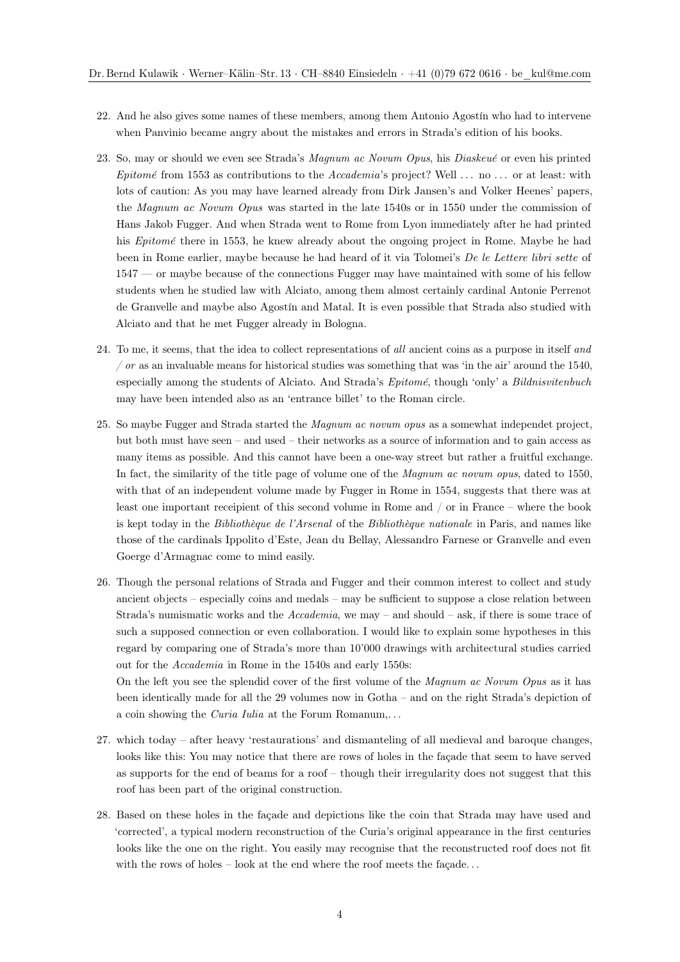- 22. And he also gives some names of these members, among them Antonio Agostín who had to intervene when Panvinio became angry about the mistakes and errors in Strada's edition of his books.
- 23. So, may or should we even see Strada's *Magnum ac Novum Opus*, his *Diaskeué* or even his printed *Epitomé* from 1553 as contributions to the *Accademia*'s project? Well . . . no . . . or at least: with lots of caution: As you may have learned already from Dirk Jansen's and Volker Heenes' papers, the *Magnum ac Novum Opus* was started in the late 1540s or in 1550 under the commission of Hans Jakob Fugger. And when Strada went to Rome from Lyon immediately after he had printed his *Epitomé* there in 1553, he knew already about the ongoing project in Rome. Maybe he had been in Rome earlier, maybe because he had heard of it via Tolomei's *De le Lettere libri sette* of 1547 — or maybe because of the connections Fugger may have maintained with some of his fellow students when he studied law with Alciato, among them almost certainly cardinal Antonie Perrenot de Granvelle and maybe also Agostín and Matal. It is even possible that Strada also studied with Alciato and that he met Fugger already in Bologna.
- 24. To me, it seems, that the idea to collect representations of *all* ancient coins as a purpose in itself *and / or* as an invaluable means for historical studies was something that was 'in the air' around the 1540, especially among the students of Alciato. And Strada's *Epitomé*, though 'only' a *Bildnisvitenbuch* may have been intended also as an 'entrance billet' to the Roman circle.
- 25. So maybe Fugger and Strada started the *Magnum ac novum opus* as a somewhat independet project, but both must have seen – and used – their networks as a source of information and to gain access as many items as possible. And this cannot have been a one-way street but rather a fruitful exchange. In fact, the similarity of the title page of volume one of the *Magnum ac novum opus*, dated to 1550, with that of an independent volume made by Fugger in Rome in 1554, suggests that there was at least one important receipient of this second volume in Rome and / or in France – where the book is kept today in the *Bibliothèque de l'Arsenal* of the *Bibliothèque nationale* in Paris, and names like those of the cardinals Ippolito d'Este, Jean du Bellay, Alessandro Farnese or Granvelle and even Goerge d'Armagnac come to mind easily.
- 26. Though the personal relations of Strada and Fugger and their common interest to collect and study ancient objects – especially coins and medals – may be sufficient to suppose a close relation between Strada's numismatic works and the *Accademia*, we may – and should – ask, if there is some trace of such a supposed connection or even collaboration. I would like to explain some hypotheses in this regard by comparing one of Strada's more than 10'000 drawings with architectural studies carried out for the *Accademia* in Rome in the 1540s and early 1550s: On the left you see the splendid cover of the first volume of the *Magnum ac Novum Opus* as it has

been identically made for all the 29 volumes now in Gotha – and on the right Strada's depiction of a coin showing the *Curia Iulia* at the Forum Romanum,. . .

- 27. which today after heavy 'restaurations' and dismanteling of all medieval and baroque changes, looks like this: You may notice that there are rows of holes in the façade that seem to have served as supports for the end of beams for a roof – though their irregularity does not suggest that this roof has been part of the original construction.
- 28. Based on these holes in the façade and depictions like the coin that Strada may have used and 'corrected', a typical modern reconstruction of the Curia's original appearance in the first centuries looks like the one on the right. You easily may recognise that the reconstructed roof does not fit with the rows of holes – look at the end where the roof meets the façade...